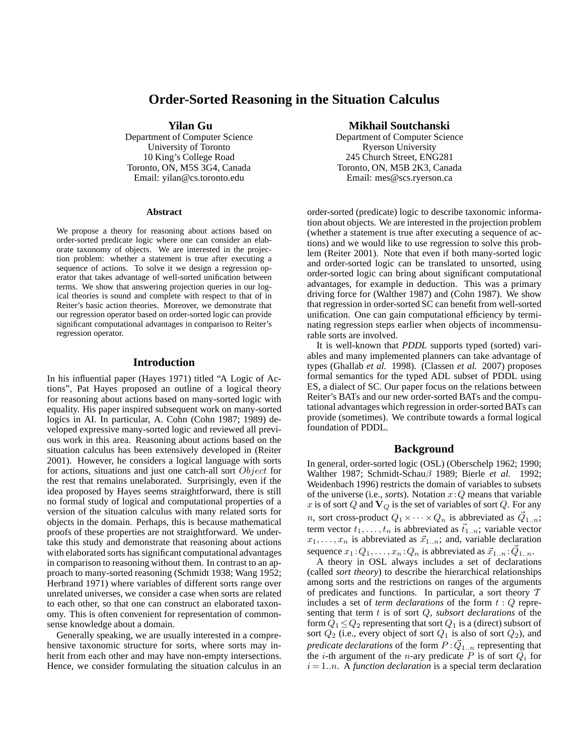# **Order-Sorted Reasoning in the Situation Calculus**

#### **Yilan Gu**

Department of Computer Science University of Toronto 10 King's College Road Toronto, ON, M5S 3G4, Canada Email: yilan@cs.toronto.edu

#### **Abstract**

We propose a theory for reasoning about actions based on order-sorted predicate logic where one can consider an elaborate taxonomy of objects. We are interested in the projection problem: whether a statement is true after executing a sequence of actions. To solve it we design a regression operator that takes advantage of well-sorted unification between terms. We show that answering projection queries in our logical theories is sound and complete with respect to that of in Reiter's basic action theories. Moreover, we demonstrate that our regression operator based on order-sorted logic can provide significant computational advantages in comparison to Reiter's regression operator.

## **Introduction**

In his influential paper (Hayes 1971) titled "A Logic of Actions", Pat Hayes proposed an outline of a logical theory for reasoning about actions based on many-sorted logic with equality. His paper inspired subsequent work on many-sorted logics in AI. In particular, A. Cohn (Cohn 1987; 1989) developed expressive many-sorted logic and reviewed all previous work in this area. Reasoning about actions based on the situation calculus has been extensively developed in (Reiter 2001). However, he considers a logical language with sorts for actions, situations and just one catch-all sort Object for the rest that remains unelaborated. Surprisingly, even if the idea proposed by Hayes seems straightforward, there is still no formal study of logical and computational properties of a version of the situation calculus with many related sorts for objects in the domain. Perhaps, this is because mathematical proofs of these properties are not straightforward. We undertake this study and demonstrate that reasoning about actions with elaborated sorts has significant computational advantages in comparison to reasoning without them. In contrast to an approach to many-sorted reasoning (Schmidt 1938; Wang 1952; Herbrand 1971) where variables of different sorts range over unrelated universes, we consider a case when sorts are related to each other, so that one can construct an elaborated taxonomy. This is often convenient for representation of commonsense knowledge about a domain.

Generally speaking, we are usually interested in a comprehensive taxonomic structure for sorts, where sorts may inherit from each other and may have non-empty intersections. Hence, we consider formulating the situation calculus in an

#### **Mikhail Soutchanski**

Department of Computer Science Ryerson University 245 Church Street, ENG281 Toronto, ON, M5B 2K3, Canada Email: mes@scs.ryerson.ca

order-sorted (predicate) logic to describe taxonomic information about objects. We are interested in the projection problem (whether a statement is true after executing a sequence of actions) and we would like to use regression to solve this problem (Reiter 2001). Note that even if both many-sorted logic and order-sorted logic can be translated to unsorted, using order-sorted logic can bring about significant computational advantages, for example in deduction. This was a primary driving force for (Walther 1987) and (Cohn 1987). We show that regression in order-sorted SC can benefit from well-sorted unification. One can gain computational efficiency by terminating regression steps earlier when objects of incommensurable sorts are involved.

It is well-known that *PDDL* supports typed (sorted) variables and many implemented planners can take advantage of types (Ghallab *et al.* 1998). (Classen *et al.* 2007) proposes formal semantics for the typed ADL subset of PDDL using ES, a dialect of SC. Our paper focus on the relations between Reiter's BATs and our new order-sorted BATs and the computational advantages which regression in order-sorted BATs can provide (sometimes). We contribute towards a formal logical foundation of PDDL.

## **Background**

In general, order-sorted logic (OSL) (Oberschelp 1962; 1990; Walther 1987; Schmidt-Schauβ 1989; Bierle *et al.* 1992; Weidenbach 1996) restricts the domain of variables to subsets of the universe (i.e., *sorts*). Notation  $x:Q$  means that variable x is of sort Q and  $V_Q$  is the set of variables of sort Q. For any *n*, sort cross-product  $Q_1 \times \cdots \times Q_n$  is abbreviated as  $\vec{Q}_{1..n}$ ; term vector  $t_1, \ldots, t_n$  is abbreviated as  $\vec{t}_{1..n}$ ; variable vector  $x_1, \ldots, x_n$  is abbreviated as  $\vec{x}_{1..n}$ ; and, variable declaration sequence  $x_1:Q_1,\ldots,x_n:Q_n$  is abbreviated as  $\vec{x}_{1..n}:\vec{Q}_{1..n}$ .

A theory in OSL always includes a set of declarations (called *sort theory*) to describe the hierarchical relationships among sorts and the restrictions on ranges of the arguments of predicates and functions. In particular, a sort theory  $T$ includes a set of *term declarations* of the form  $t:Q$  representing that term t is of sort Q, *subsort declarations* of the form  $Q_1 \leq Q_2$  representing that sort  $Q_1$  is a (direct) subsort of sort  $Q_2$  (i.e., every object of sort  $Q_1$  is also of sort  $Q_2$ ), and *predicate declarations* of the form  $P$  :  $\vec{Q}_{1..n}$  representing that the *i*-th argument of the *n*-ary predicate P is of sort  $Q_i$  for  $i = 1..n$ . A *function declaration* is a special term declaration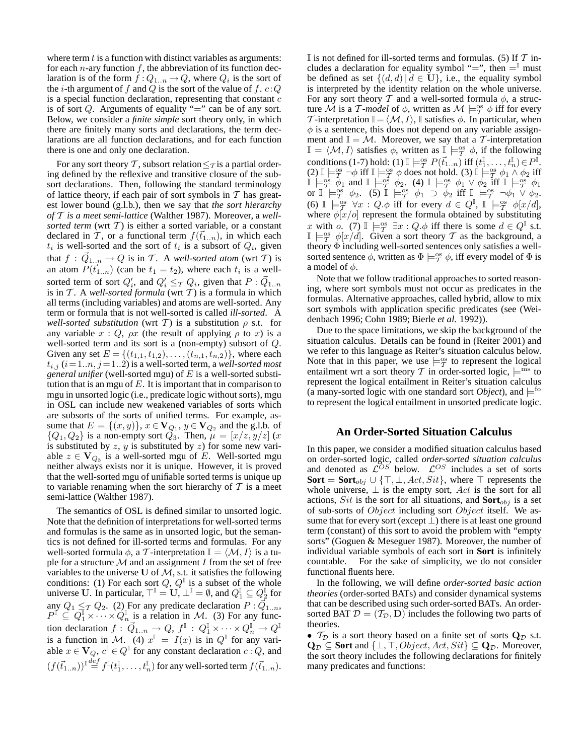where term  $t$  is a function with distinct variables as arguments: for each *n*-ary function  $f$ , the abbreviation of its function declaration is of the form  $f:Q_{1..n}\to Q$ , where  $Q_i$  is the sort of the *i*-th argument of f and Q is the sort of the value of f.  $c$ : Q is a special function declaration, representing that constant  $c$ is of sort  $Q$ . Arguments of equality "=" can be of any sort. Below, we consider a *finite simple* sort theory only, in which there are finitely many sorts and declarations, the term declarations are all function declarations, and for each function there is one and only one declaration.

For any sort theory T, subsort relation  $\leq$  is a partial ordering defined by the reflexive and transitive closure of the subsort declarations. Then, following the standard terminology of lattice theory, if each pair of sort symbols in  $T$  has greatest lower bound (g.l.b.), then we say that *the sort hierarchy of* T *is a meet semi-lattice* (Walther 1987). Moreover, a *wellsorted term* (wrt  $T$ ) is either a sorted variable, or a constant declared in T, or a functional term  $f(\vec{t}_{1..n})$ , in which each  $t_i$  is well-sorted and the sort of  $t_i$  is a subsort of  $Q_i$ , given that  $f: \vec{Q}_{1..n} \to Q$  is in T. A *well-sorted atom* (wrt T) is an atom  $P(\vec{t}_{1..n})$  (can be  $t_1 = t_2$ ), where each  $t_i$  is a wellsorted term of sort  $Q'_i$ , and  $Q'_i \leq_T Q_i$ , given that  $P: \vec{Q}_{1..n}$ is in  $T$ . A *well-sorted formula* (wrt  $T$ ) is a formula in which all terms (including variables) and atoms are well-sorted. Any term or formula that is not well-sorted is called *ill-sorted*. A *well-sorted substitution* (wrt T) is a substitution  $\rho$  s.t. for any variable  $x : Q$ ,  $\rho x$  (the result of applying  $\rho$  to  $x$ ) is a well-sorted term and its sort is a (non-empty) subsort of Q. Given any set  $E = \{(t_{1,1}, t_{1,2}), \ldots, (t_{n,1}, t_{n,2})\}$ , where each  $t_{i,j}$  ( $i = 1..n, j = 1..2$ ) is a well-sorted term, a *well-sorted most general unifier* (well-sorted mgu) of E is a well-sorted substitution that is an mgu of  $E$ . It is important that in comparison to mgu in unsorted logic (i.e., predicate logic without sorts), mgu in OSL can include new weakened variables of sorts which are subsorts of the sorts of unified terms. For example, assume that  $E = \{(x, y)\}\,$ ,  $x \in V_{Q_1}$ ,  $y \in V_{Q_2}$  and the g.l.b. of  ${Q_1, Q_2}$  is a non-empty sort  $Q_3$ . Then,  $\mu = [x/z, y/z]$  (x is substituted by  $z$ ,  $y$  is substituted by  $z$ ) for some new variable  $z \in V_{Q_3}$  is a well-sorted mgu of E. Well-sorted mgu neither always exists nor it is unique. However, it is proved that the well-sorted mgu of unifiable sorted terms is unique up to variable renaming when the sort hierarchy of  $T$  is a meet semi-lattice (Walther 1987).

The semantics of OSL is defined similar to unsorted logic. Note that the definition of interpretations for well-sorted terms and formulas is the same as in unsorted logic, but the semantics is not defined for ill-sorted terms and formulas. For any well-sorted formula  $\phi$ , a T-interpretation  $\mathbb{I} = \langle \mathcal{M}, I \rangle$  is a tuple for a structure  $M$  and an assignment I from the set of free variables to the universe U of  $M$ , s.t. it satisfies the following conditions: (1) For each sort  $Q$ ,  $Q^{\mathbb{I}}$  is a subset of the whole universe U. In particular,  $\top^{\mathbb{I}} = \mathbf{U}$ ,  $\bot^{\mathbb{I}} = \emptyset$ , and  $Q^{\mathbb{I}}_1 \subseteq Q^{\mathbb{I}}_2$  for any  $Q_1 \leq_T Q_2$ . (2) For any predicate declaration  $P: \vec{Q}_{1..n}$ ,  $P^{\mathbb{I}} \subseteq Q^{\mathbb{I}}_1 \times \cdots \times Q^{\mathbb{I}}_n$  is a relation in M. (3) For any function declaration  $f: \vec{Q}_{1..n} \to Q, f^{\mathbb{I}}: Q_1^{\mathbb{I}} \times \cdots \times Q_n^{\mathbb{I}} \to Q^{\mathbb{I}}$ is a function in M. (4)  $x^{\mathbb{I}} = I(x)$  is in  $Q^{\mathbb{I}}$  for any variable  $x \in V_Q$ ,  $c^{\mathbb{I}} \in Q^{\mathbb{I}}$  for any constant declaration  $c : Q$ , and  $(f(\vec{t}_{1..n}))^{\text{I}} \stackrel{def}{=} f^{\text{I}}(t_1^{\text{I}}, \ldots, t_n^{\text{I}})$  for any well-sorted term  $f(\vec{t}_{1..n})$ .

If is not defined for ill-sorted terms and formulas. (5) If  $T$  includes a declaration for equality symbol "=", then  $=$ <sup>"</sup> must be defined as set  $\{(d, d) | d \in \mathbf{U}\}\)$ , i.e., the equality symbol is interpreted by the identity relation on the whole universe. For any sort theory T and a well-sorted formula  $\phi$ , a structure  $\dot{M}$  is a T-model of  $\phi$ , written as  $\mathcal{M} \models_T^{\infty} \phi$  iff for every T-interpretation  $\mathbb{I} = \langle \mathcal{M}, I \rangle$ , I satisfies  $\phi$ . In particular, when  $\phi$  is a sentence, this does not depend on any variable assignment and  $\mathbb{I} = \mathcal{M}$ . Moreover, we say that a T-interpretation  $\mathbb{I} = \langle \mathcal{M}, I \rangle$  satisfies  $\phi$ , written as  $\mathbb{I} \models_T^{\text{os}} \phi$ , if the following conditions (1-7) hold: (1)  $\mathbb{I} \models_{\mathcal{T}}^{\infty} P(\vec{t}_{1..n})$  iff  $(t_1^{\mathbb{I}}, \dots, t_n^{\mathbb{I}}) \in P^{\mathbb{I}}$ .  $(2) \mathbb{I} \models^{\text{os}}_{\mathcal{T}} \neg \phi$  iff  $\mathbb{I} \models^{\text{os}}_{\mathcal{T}} \phi$  does not hold.  $(3) \mathbb{I} \models^{\text{os}}_{\mathcal{T}} \phi_1 \wedge \phi_2$  iff  $\mathbb{I} \models_T^{o} \phi_1$  and  $\mathbb{I} \models_T^{o} \phi_2$ . (4)  $\mathbb{I} \models_T^{o} \phi_1 \vee \phi_2$  iff  $\mathbb{I} \models_T^{o} \phi_1$ or  $\mathbb{I} \models_T^{\text{os}} \phi_2$ . (5)  $\mathbb{I} \models_T^{\text{os}} \phi_1 \supset \phi_2$  iff  $\mathbb{I} \models_T^{\text{os}} \neg \phi_1 \vee \phi_2$ . (6)  $\mathbb{I} \models_T^{\text{os}} \forall x : Q.\phi \text{ iff for every } d \in Q^{\mathbb{I}}, \mathbb{I} \models_T^{\text{os}} \phi[x/d],$ where  $\phi[x/\sigma]$  represent the formula obtained by substituting x with o. (7)  $\mathbb{I} \models_T^{\infty} \exists x : Q.\phi$  iff there is some  $d \in Q^{\mathbb{I}}$  s.t.  $\mathbb{I} \models_T^{\infty} \phi[x/d]$ . Given a sort theory T as the background, a theory Φ including well-sorted sentences only satisfies a wellsorted sentence  $\phi$ , written as  $\Phi \models^{\text{os}}_{\mathcal{I}} \phi$ , iff every model of  $\Phi$  is a model of  $\phi$ .

Note that we follow traditional approaches to sorted reasoning, where sort symbols must not occur as predicates in the formulas. Alternative approaches, called hybrid, allow to mix sort symbols with application specific predicates (see (Weidenbach 1996; Cohn 1989; Bierle *et al.* 1992)).

Due to the space limitations, we skip the background of the situation calculus. Details can be found in (Reiter 2001) and we refer to this language as Reiter's situation calculus below. Note that in this paper, we use  $\models_T^{\text{os}}$  to represent the logical entailment wrt a sort theory T in order-sorted logic,  $\models^{ms}$  to represent the logical entailment in Reiter's situation calculus (a many-sorted logic with one standard sort *Object*), and  $\models^{to}$ to represent the logical entailment in unsorted predicate logic.

## **An Order-Sorted Situation Calculus**

In this paper, we consider a modified situation calculus based on order-sorted logic, called *order-sorted situation calculus* and denoted as  $\mathcal{L}^{OS}$  below.  $\mathcal{L}^{OS}$  includes a set of sorts **Sort** = **Sort**<sub>obj</sub> ∪ { $\top$ ,  $\bot$ ,  $Act$ ,  $Sit$ }, where  $\top$  represents the whole universe,  $\perp$  is the empty sort, Act is the sort for all actions, Sit is the sort for all situations, and  $Sort_{obj}$  is a set of sub-sorts of *Object* including sort *Object* itself. We assume that for every sort (except  $\perp$ ) there is at least one ground term (constant) of this sort to avoid the problem with "empty sorts" (Goguen & Meseguer 1987). Moreover, the number of individual variable symbols of each sort in **Sort** is infinitely countable. For the sake of simplicity, we do not consider functional fluents here.

In the following, we will define *order-sorted basic action theories* (order-sorted BATs) and consider dynamical systems that can be described using such order-sorted BATs. An ordersorted BAT  $\mathcal{D} = (\mathcal{T}_{\mathcal{D}}, \mathbf{D})$  includes the following two parts of theories.

•  $\mathcal{T}_{\mathcal{D}}$  is a sort theory based on a finite set of sorts  $\mathbf{Q}_{\mathcal{D}}$  s.t.  $\mathbf{Q}_{\mathcal{D}} \subseteq$  **Sort** and  $\{\perp, \top, Object, Act, Sit\} \subseteq \mathbf{Q}_{\mathcal{D}}$ . Moreover, the sort theory includes the following declarations for finitely many predicates and functions: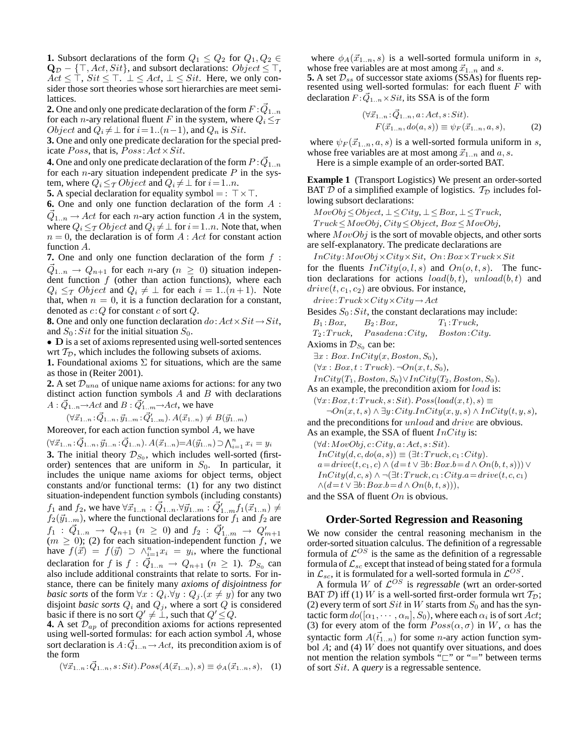**1.** Subsort declarations of the form  $Q_1 \leq Q_2$  for  $Q_1, Q_2 \in$  $\mathbf{Q}_{\mathcal{D}}$  – { $\top$ , Act, Sit}, and subsort declarations: Object  $\leq$   $\top$ ,  $Act \leq \tilde{\top}$ ,  $Sit \leq \top$ .  $\bot \leq Act$ ,  $\bot \leq Sit$ . Here, we only consider those sort theories whose sort hierarchies are meet semilattices.

**2.** One and only one predicate declaration of the form  $F$  :  $\vec{Q}_{1..n}$ for each *n*-ary relational fluent F in the system, where  $Q_i \leq_T$ *Object* and  $Q_i \neq \perp$  for  $i = 1..(n-1)$ , and  $Q_n$  is Sit.

**3.** One and only one predicate declaration for the special predicate  $Poss$ , that is,  $Poss$ :  $Act \times Sit$ .

**4.** One and only one predicate declaration of the form  $P$  :  $\vec{Q}_{1..n}$ for each  $n$ -ary situation independent predicate  $P$  in the system, where  $Q_i \leq_T Object$  and  $Q_i \neq \perp$  for  $i = 1..n$ .

**5.** A special declaration for equality symbol = :  $\top \times \top$ .

**6.** One and only one function declaration of the form A :  $\vec{Q}_{1..n} \rightarrow Act$  for each *n*-ary action function *A* in the system, where  $Q_i \leq T$  *Object* and  $Q_i \neq \bot$  for  $i = 1..n$ . Note that, when  $n = 0$ , the declaration is of form  $A : Act$  for constant action function A.

**7.** One and only one function declaration of the form  $f$ :  $\vec{Q}_{1..n} \rightarrow Q_{n+1}$  for each *n*-ary ( $n \geq 0$ ) situation independent function  $f$  (other than action functions), where each  $Q_i \leq_T Object$  and  $Q_i \neq \perp$  for each  $i = 1..(n+1)$ . Note that, when  $n = 0$ , it is a function declaration for a constant, denoted as  $c:Q$  for constant  $c$  of sort  $Q$ .

**8.** One and only one function declaration  $do: Act \times Sit \rightarrow Sit$ , and  $S_0$ : Sit for the initial situation  $S_0$ .

• D is a set of axioms represented using well-sorted sentences wrt  $T_D$ , which includes the following subsets of axioms.

**1.** Foundational axioms  $\Sigma$  for situations, which are the same as those in (Reiter 2001).

**2.** A set  $\mathcal{D}_{una}$  of unique name axioms for actions: for any two distinct action function symbols  $A$  and  $B$  with declarations  $A: \vec{Q}_{1..n} \rightarrow Act$  and  $B: \vec{Q}'_{1..m} \rightarrow Act$ , we have

$$
(\forall \vec{x}_{1..n} : \vec{Q}_{1..n}, \vec{y}_{1..m} : \vec{Q}'_{1..m}). A(\vec{x}_{1..n}) \neq B(\vec{y}_{1..m})
$$

Moreover, for each action function symbol  $A$ , we have

 $(\forall \vec{x}_{1..n} : \vec{Q}_{1..n}, \vec{y}_{1..n} : \vec{Q}_{1..n}) \cdot A(\vec{x}_{1..n}) = A(\vec{y}_{1..n}) \supset \bigwedge_{i=1}^{n} x_i = y_i$ **3.** The initial theory  $\mathcal{D}_{S_0}$ , which includes well-sorted (firstorder) sentences that are uniform in  $S_0$ . In particular, it includes the unique name axioms for object terms, object constants and/or functional terms: (1) for any two distinct situation-independent function symbols (including constants)  $f_1$  and  $f_2$ , we have  $\forall \vec{x}_{1..n} : \vec{Q}_{1..n} \forall \vec{y}_{1..m} : \vec{Q}'_{1..m} f_1(\vec{x}_{1..n}) \neq$  $f_2(\vec{y}_{1..m})$ , where the functional declarations for  $f_1$  and  $f_2$  are  $f_1$  :  $\vec{Q}_{1..n} \rightarrow Q_{n+1}$   $(n \ge 0)$  and  $f_2$  :  $\vec{Q}'_{1..m} \rightarrow Q'_{m+1}$  $(m \geq 0)$ ; (2) for each situation-independent function f, we have  $f(\vec{x}) = f(\vec{y}) \supset \wedge_{i=1}^{n} x_i = y_i$ , where the functional declaration for f is  $f : \vec{Q}_{1..n} \to Q_{n+1}$   $(n \ge 1)$ .  $\mathcal{D}_{S_0}$  can also include additional constraints that relate to sorts. For instance, there can be finitely many *axioms of disjointness for basic sorts* of the form  $\forall x : Q_i. \forall y : Q_j. (x \neq y)$  for any two disjoint *basic sorts*  $Q_i$  and  $Q_j$ , where a sort  $Q$  is considered basic if there is no sort  $Q' \neq \bot$ , such that  $Q' \leq Q$ .

**4.** A set  $\mathcal{D}_{ap}$  of precondition axioms for actions represented using well-sorted formulas: for each action symbol  $\overline{A}$ , whose sort declaration is  $A: \vec{Q}_{1..n} \to Act$ , its precondition axiom is of the form

$$
(\forall \vec{x}_{1..n} : \vec{Q}_{1..n}, s : Sit). Poss(A(\vec{x}_{1..n}), s) \equiv \phi_A(\vec{x}_{1..n}, s), \quad (1)
$$

where  $\phi_A(\vec{x}_{1..n}, s)$  is a well-sorted formula uniform in s, whose free variables are at most among  $\vec{x}_{1..n}$  and s. **5.** A set  $\mathcal{D}_{ss}$  of successor state axioms (SSAs) for fluents represented using well-sorted formulas: for each fluent  $F$  with declaration  $F: \overline{Q}_{1..n}\times Sit$ , its SSA is of the form

$$
(\forall \vec{x}_{1..n} : \vec{Q}_{1..n}, a : Act, s : Sit).
$$
  
F(\vec{x}\_{1..n}, do(a, s)) \equiv \psi\_F(\vec{x}\_{1..n}, a, s), (2)

where  $\psi_F(\vec{x}_{1..n}, a, s)$  is a well-sorted formula uniform in s, whose free variables are at most among  $\vec{x}_{1..n}$  and  $a, s$ .

Here is a simple example of an order-sorted BAT.

**Example 1** (Transport Logistics) We present an order-sorted BAT D of a simplified example of logistics.  $\mathcal{T}_{\mathcal{D}}$  includes following subsort declarations:

 $MovObj \leq Object, \bot \leq City, \bot \leq Box, \bot \leq Truek,$ 

Truck≤MovObj, City≤Object, Box≤MovObj,

where  $MovObj$  is the sort of movable objects, and other sorts are self-explanatory. The predicate declarations are

 $InCity: MovObj\times City\times Sit, On:Box\times Truek\times Sit$ 

for the fluents  $InCity(o, l, s)$  and  $On(o, t, s)$ . The function declarations for actions  $load(b, t)$ ,  $unload(b, t)$  and  $drive(t, c_1, c_2)$  are obvious. For instance,

 $drive:Truck \times City \times City \rightarrow Act$ 

Besides  $S_0$ : Sit, the constant declarations may include:

 $B_1 : Box.$   $B_2 : Box.$   $T_1 : Truek.$ 

T<sup>2</sup> :Truck, Pasadena:City, Boston:City.

Axioms in  $\mathcal{D}_{S_0}$  can be:

 $\exists x : Box.$   $InCity(x, Boston, S_0),$ 

 $(\forall x : Box, t : Truek)$ . ¬ $On(x, t, S_0)$ ,

 $InCity(T_1, Boston, S_0) \vee InCity(T_2, Boston, S_0).$ 

As an example, the precondition axiom for *load* is:

 $(\forall x:Box, t:Truck, s: Sit). Poss(load(x, t), s) \equiv$ 

 $\neg On(x, t, s) \land \exists y : City. InCity(x, y, s) \land InCity(t, y, s),$ and the preconditions for *unload* and *drive* are obvious. As an example, the SSA of fluent  $InCity$  is:

 $(\forall d: MovObj, c:City, a:Act, s: Sit).$ 

 $InCity(d, c, do(a, s)) \equiv (\exists t: Truek, c_1: City).$ 

 $a=drive(t,c_1,c) \wedge (d=t \vee \exists b:Box.b=d \wedge On(b,t,s))) \vee$ 

 $InCity(d, c, s) \wedge \neg (\exists t: Truck, c_1: City.a = drive(t, c, c_1))$ 

 $\wedge (d=t \vee \exists b : Box.b = d \wedge On(b,t,s))),$ 

and the SSA of fluent  $On$  is obvious.

#### **Order-Sorted Regression and Reasoning**

We now consider the central reasoning mechanism in the order-sorted situation calculus. The definition of a regressable formula of  $\mathcal{L}^{OS}$  is the same as the definition of a regressable formula of  $\mathcal{L}_{sc}$  except that instead of being stated for a formula in  $\mathcal{L}_{sc}$ , it is formulated for a well-sorted formula in  $\mathcal{L}^{OS}$ .

A formula W of  $\mathcal{L}^{OS}$  is *regressable* (wrt an order-sorted BAT D) iff (1) W is a well-sorted first-order formula wrt  $\mathcal{T}_{\mathcal{D}}$ ; (2) every term of sort Sit in W starts from  $S_0$  and has the syntactic form  $do([\alpha_1, \cdots, \alpha_n], S_0),$  where each  $\alpha_i$  is of sort  $Act;$ (3) for every atom of the form  $Poss(\alpha, \sigma)$  in W,  $\alpha$  has the syntactic form  $A(\vec{t}_{1..n})$  for some *n*-ary action function symbol  $A$ ; and (4)  $W$  does not quantify over situations, and does not mention the relation symbols " $\Box$ " or "=" between terms of sort Sit. A *query* is a regressable sentence.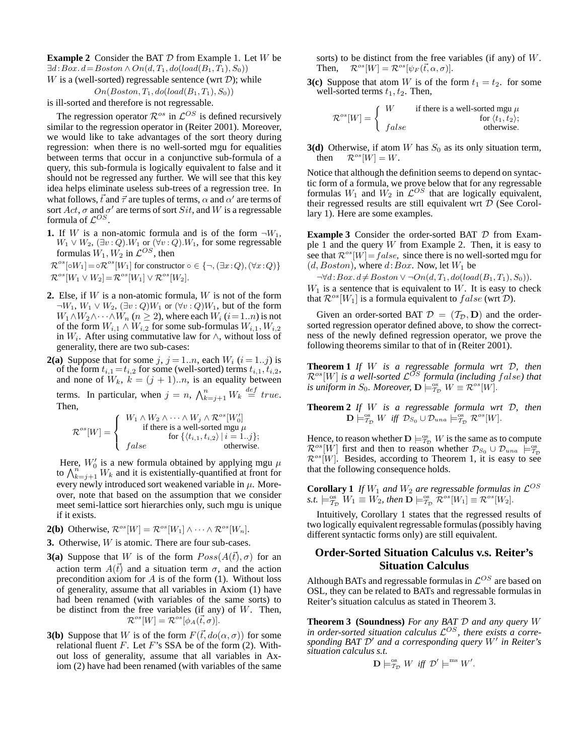**Example 2** Consider the BAT D from Example 1. Let W be  $\exists d:Box. d = Boston \land On(d, T_1, do (load(B_1, T_1), S_0))$ W is a (well-sorted) regressable sentence (wrt  $\mathcal{D}$ ); while

$$
On(Boston, T_1, do (load(B_1, T_1), S_0))
$$

is ill-sorted and therefore is not regressable.

The regression operator  $\mathcal{R}^{os}$  in  $\mathcal{L}^{OS}$  is defined recursively similar to the regression operator in (Reiter 2001). Moreover, we would like to take advantages of the sort theory during regression: when there is no well-sorted mgu for equalities between terms that occur in a conjunctive sub-formula of a query, this sub-formula is logically equivalent to false and it should not be regressed any further. We will see that this key idea helps eliminate useless sub-trees of a regression tree. In what follows,  $\vec{t}$  and  $\vec{\tau}$  are tuples of terms,  $\alpha$  and  $\alpha'$  are terms of sort  $Act$ ,  $\sigma$  and  $\sigma'$  are terms of sort  $Sit$ , and W is a regressable formula of  $\mathcal{L}^{OS}$ .

**1.** If W is a non-atomic formula and is of the form  $\neg W_1$ ,  $W_1\vee W_2,$   $(\exists v\mathbin{:} Q).W_1$  or  $(\forall v\mathbin{:} Q).W_1,$  for some regressable formulas  $W_1, W_2$  in  $\mathcal{L}^{OS}$ , then

 $\mathcal{R}^{os}[\circ W_1] = \circ \mathcal{R}^{os}[W_1]$  for constructor  $\circ \in \{\neg, (\exists x:Q), (\forall x:Q)\}\$  $\mathcal{R}^{os}[W_1 \vee W_2] = \mathcal{R}^{os}[W_1] \vee \mathcal{R}^{os}[W_2].$ 

- **2.** Else, if W is a non-atomic formula, W is not of the form  $\neg W_1, W_1 \lor W_2, (\exists v: Q)W_1$  or  $(\forall v: Q)W_1$ , but of the form  $W_1 \wedge W_2 \wedge \cdots \wedge W_n$  ( $n \geq 2$ ), where each  $W_i$  ( $i = 1..n$ ) is not of the form  $W_{i,1} \wedge W_{i,2}$  for some sub-formulas  $W_{i,1}$ ,  $W_{i,2}$ in  $W_i$ . After using commutative law for  $\wedge$ , without loss of generality, there are two sub-cases:
- **2(a)** Suppose that for some  $j$ ,  $j = 1..n$ , each  $W_i$   $(i = 1..j)$  is of the form  $t_{i,1} = t_{i,2}$  for some (well-sorted) terms  $t_{i,1}, t_{i,2}$ , and none of  $W_k$ ,  $k = (j + 1)...n$ , is an equality between terms. In particular, when  $j = n$ ,  $\bigwedge_{k=j+1}^{n} W_k \stackrel{def}{=} true$ . Then,

R os[W] = 8 >< >: W<sup>1</sup> ∧ W<sup>2</sup> ∧ · · · ∧ W<sup>j</sup> ∧ Ros[W′ 0] if there is a well-sorted mgu µ for {hti,<sup>1</sup>, ti,<sup>2</sup>i |i = 1..j}; false otherwise.

Here,  $W'_0$  is a new formula obtained by applying mgu  $\mu$ to  $\bigwedge_{k=j+1}^{n'} W_k$  and it is existentially-quantified at front for every newly introduced sort weakened variable in  $\mu$ . Moreover, note that based on the assumption that we consider meet semi-lattice sort hierarchies only, such mgu is unique if it exists.

**2(b)** Otherwise,  $\mathcal{R}^{os}[W] = \mathcal{R}^{os}[W_1] \wedge \cdots \wedge \mathcal{R}^{os}[W_n].$ 

- **3.** Otherwise, W is atomic. There are four sub-cases.
- **3(a)** Suppose that W is of the form  $Poss(A(\vec{t}), \sigma)$  for an action term  $A(\vec{t})$  and a situation term  $\sigma$ , and the action precondition axiom for  $A$  is of the form (1). Without loss of generality, assume that all variables in Axiom (1) have had been renamed (with variables of the same sorts) to be distinct from the free variables (if any) of  $W$ . Then,  $\mathcal{R}^{os}[W] = \mathcal{R}^{os}[\phi_A(\vec{t},\sigma)].$
- **3(b)** Suppose that W is of the form  $F(\vec{t}, do(\alpha, \sigma))$  for some relational fluent  $F$ . Let  $F$ 's SSA be of the form (2). Without loss of generality, assume that all variables in Axiom (2) have had been renamed (with variables of the same

sorts) to be distinct from the free variables (if any) of  $W$ . Then,  $\mathcal{R}^{os}[W] = \mathcal{R}^{os}[\psi_F(\vec{t}, \alpha, \sigma)].$ 

**3(c)** Suppose that atom W is of the form  $t_1 = t_2$ , for some well-sorted terms  $t_1, t_2$ . Then,

$$
\mathcal{R}^{os}[W] = \left\{ \begin{array}{ll} W & \text{if there is a well-sorted mgu } \mu \\ & \text{for } \langle t_1, t_2 \rangle; \\ false & \text{otherwise.} \end{array} \right.
$$

**3(d)** Otherwise, if atom W has  $S_0$  as its only situation term, then  $\mathcal{R}^{os}[W] = W$ .

Notice that although the definition seems to depend on syntactic form of a formula, we prove below that for any regressable formulas  $W_1$  and  $W_2$  in  $\mathcal{L}^{OS}$  that are logically equivalent, their regressed results are still equivalent wrt  $D$  (See Corollary 1). Here are some examples.

**Example 3** Consider the order-sorted BAT  $D$  from Example 1 and the query  $W$  from Example 2. Then, it is easy to see that  $\mathcal{R}^{os}[W] = false$ , since there is no well-sorted mgu for  $(d, Boston)$ , where  $d:Box$ . Now, let  $W_1$  be

 $\neg \forall d: Box. d \neq Boston \lor \neg On(d, T_1, do (load(B_1, T_1), S_0)).$  $W_1$  is a sentence that is equivalent to W. It is easy to check that  $\mathcal{R}^{os}[W_1]$  is a formula equivalent to  $false$  (wrt  $\mathcal{D}$ ).

Given an order-sorted BAT  $\mathcal{D} = (\mathcal{T}_{\mathcal{D}}, \mathbf{D})$  and the ordersorted regression operator defined above, to show the correctness of the newly defined regression operator, we prove the following theorems similar to that of in (Reiter 2001).

**Theorem 1** *If* W *is a regressable formula wrt* D*, then*  $\mathcal{R}^{os}[W]$  is a well-sorted  $\mathcal{L}^{OS}$  formula (including false) that *is uniform in*  $S_0$ . Moreover,  $\mathbf{D} \models_{\mathcal{T}_{\mathcal{D}}}^{\infty} W \equiv \mathcal{R}^{os}[W]$ .

**Theorem 2** *If* W *is a regressable formula wrt* D*, then*  $\mathbf{D} \models_{\mathcal{T}_{\mathcal{D}}}^{\mathcal{S}_{\mathcal{S}}} W \text{ iff } \mathcal{D}_{S_{0}} \cup \mathcal{D}_{una} \models_{\mathcal{T}_{\mathcal{D}}}^{\mathcal{S}_{\mathcal{S}}} \mathcal{R}^{os}[W].$ 

Hence, to reason whether  $\mathbf{D} \models_{\mathcal{T}_{\mathcal{D}}}^{\mathcal{S}_{\mathcal{B}}} W$  is the same as to compute  $\mathcal{R}^{os}[W]$  first and then to reason whether  $\mathcal{D}_{S_0} \cup \mathcal{D}_{una}$   $\models^{\text{os}}_{\mathcal{D}_{D}}$  $\mathcal{R}^{os}[W]$ . Besides, according to Theorem 1, it is easy to see that the following consequence holds.

**Corollary 1** If  $W_1$  and  $W_2$  are regressable formulas in  $\mathcal{L}^{OS}$  $s.t. \models_{\mathcal{T}_{\mathcal{D}}}^{\infty} W_1 \equiv W_2$ , then  $\mathbf{D} \models_{\mathcal{T}_{\mathcal{D}}}^{\infty} \mathcal{R}^{os}[W_1] \equiv \mathcal{R}^{os}[W_2]$ .

Intuitively, Corollary 1 states that the regressed results of two logically equivalent regressable formulas (possibly having different syntactic forms only) are still equivalent.

# **Order-Sorted Situation Calculus v.s. Reiter's Situation Calculus**

Although BATs and regressable formulas in  $\mathcal{L}^{OS}$  are based on OSL, they can be related to BATs and regressable formulas in Reiter's situation calculus as stated in Theorem 3.

**Theorem 3 (Soundness)** *For any BAT* D *and any query* W in order-sorted situation calculus  $\mathcal{L}^{OS}$ , there exists a corre*sponding BAT* D′ *and a corresponding query* W′ *in Reiter's situation calculus s.t.*

$$
\mathbf{D}\models_{\mathcal{T}_{\mathcal{D}}}^{\text{os}} W \text{ iff } \mathcal{D}'\models^{\text{ms}} W'.
$$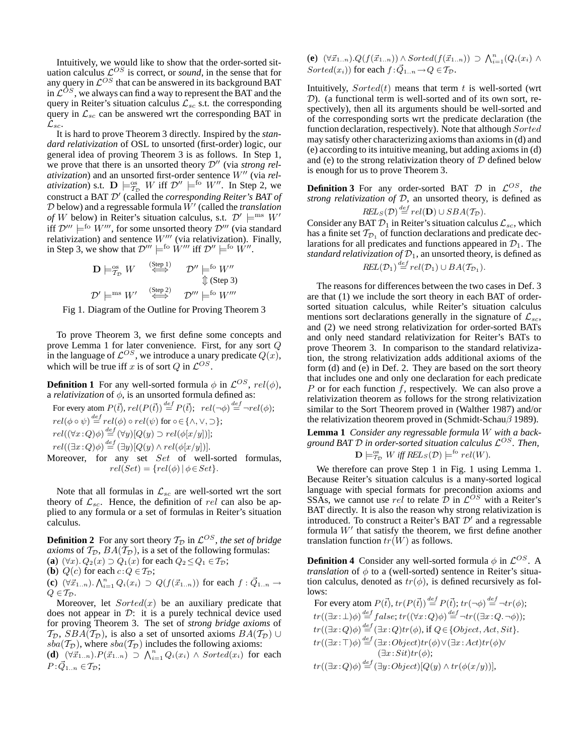Intuitively, we would like to show that the order-sorted situation calculus  $\mathcal{L}^{OS}$  is correct, or *sound*, in the sense that for any query in  $\mathcal{L}^{OS}$  that can be answered in its background BAT in  $\mathcal{L}^{OS}$ , we always can find a way to represent the BAT and the query in Reiter's situation calculus  $\mathcal{L}_{sc}$  s.t. the corresponding query in  $\mathcal{L}_{sc}$  can be answered wrt the corresponding BAT in  $\mathcal{L}_{sc}.$ 

It is hard to prove Theorem 3 directly. Inspired by the *standard relativization* of OSL to unsorted (first-order) logic, our general idea of proving Theorem 3 is as follows. In Step 1, we prove that there is an unsorted theory  $\mathcal{D}''$  (via *strong relativization*) and an unsorted first-order sentence W′′ (via *relativization*) s.t.  $\mathbf{D} \models_{\mathcal{T}_{\mathcal{D}}}^{\infty} W$  iff  $\mathcal{D}'' \models^{\text{fo}} W''$ . In Step 2, we construct a BAT D′ (called the *corresponding Reiter's BAT of*  $D$  below) and a regressable formula  $\hat{W}'$  (called the *translation of* W below) in Reiter's situation calculus, s.t.  $\mathcal{D}' \models^{\text{ms}} W'$ iff  $\mathcal{D}^{\prime\prime\prime} \models^{\text{fo}} W^{\prime\prime\prime}$ , for some unsorted theory  $\mathcal{D}^{\prime\prime\prime}$  (via standard relativization) and sentence  $W'''$  (via relativization). Finally, in Step 3, we show that  $\mathcal{D}''' \models^{\text{fo}} \dot{W}'''$  iff  $\mathcal{D}'' \models^{\text{fo}} \dot{W}''$ .

$$
\mathbf{D} \models_{\mathcal{T}_{\mathcal{D}}}^{\text{os}} W \stackrel{\text{(Step 1)}}{\iff} \mathcal{D}'' \models^{\text{fo}} W''
$$
  

$$
\Downarrow (\text{Step 3})
$$
  

$$
\mathcal{D}' \models^{\text{ms}} W' \stackrel{\text{(Step 2)}}{\iff} \mathcal{D}''' \models^{\text{fo}} W'''
$$

Fig 1. Diagram of the Outline for Proving Theorem 3

To prove Theorem 3, we first define some concepts and prove Lemma 1 for later convenience. First, for any sort  $Q$ in the language of  $\mathcal{L}^{OS}$ , we introduce a unary predicate  $Q(x)$ , which will be true iff x is of sort Q in  $\mathcal{L}^{OS}$ .

**Definition 1** For any well-sorted formula  $\phi$  in  $\mathcal{L}^{OS}$ ,  $rel(\phi)$ , a *relativization* of  $\phi$ , is an unsorted formula defined as:

For every atom 
$$
P(\vec{t})
$$
,  $rel(P(\vec{t})) \stackrel{def}{=} P(\vec{t})$ ;  $rel(\neg \phi) \stackrel{def}{=} \neg rel(\phi)$ ;  
\n $rel(\phi \circ \psi) \stackrel{def}{=} rel(\phi) \circ rel(\psi)$  for  $\circ \in \{\land, \lor, \supset\}$ ;  
\n $rel((\forall x : Q)\phi) \stackrel{def}{=} (\forall y)[Q(y) \supset rel(\phi[x/y])]$ ;  
\n $rel((\exists x : Q)\phi) \stackrel{def}{=} (\exists y)[Q(y) \land rel(\phi[x/y])]$ .  
\nMoreover, for any set *Set* of well-sorted formulas,  
\n $rel(Set) = \{rel(\phi) | \phi \in Set\}$ .

Note that all formulas in  $\mathcal{L}_{sc}$  are well-sorted wrt the sort theory of  $\mathcal{L}_{sc}$ . Hence, the definition of rel can also be applied to any formula or a set of formulas in Reiter's situation calculus.

**Definition 2** For any sort theory  $T_{\mathcal{D}}$  in  $\mathcal{L}^{OS}$ , the set of bridge *axioms* of  $T_D$ ,  $BA(T_D)$ , is a set of the following formulas: (**a**)  $(\forall x) \cdot Q_2(x) \supset Q_1(x)$  for each  $Q_2 \leq Q_1 \in \mathcal{T}_2$ ;

(**b**)  $Q(c)$  for each  $c:Q \in \mathcal{T}_{\mathcal{D}}$ ;

(**c**)  $(\forall \vec{x}_{1..n})$ .  $\bigwedge_{i=1}^{n} Q_i(x_i) \supset Q(f(\vec{x}_{1..n}))$  for each  $f : \vec{Q}_{1..n} \to$  $Q \in T_{\mathcal{D}}$ .

Moreover, let  $Sorted(x)$  be an auxiliary predicate that does not appear in  $\mathcal{D}$ : it is a purely technical device used for proving Theorem 3. The set of *strong bridge axioms* of  $T_{\mathcal{D}}$ ,  $SBA(T_{\mathcal{D}})$ , is also a set of unsorted axioms  $BA(T_{\mathcal{D}}) \cup$  $sba(\mathcal{T}_D)$ , where  $sba(\mathcal{T}_D)$  includes the following axioms:

 $(d)$   $(\forall \vec{x}_{1..n}) \cdot P(\vec{x}_{1..n}) \supset \bigwedge_{i=1}^{n} Q_i(x_i) \wedge Sorted(x_i)$  for each  $P: \vec{Q}_{1..n} \in \mathcal{T}_{\mathcal{D}};$ 

**(<b>e**)  $(\forall \vec{x}_{1..n}).Q(f(\vec{x}_{1..n})) \land Sorted(f(\vec{x}_{1..n})) \supset \bigwedge_{i=1}^{n} (Q_i(x_i) \land$ Sorted(x<sub>i</sub>)) for each  $f : \vec{Q}_{1..n} \to Q \in T_{\mathcal{D}}$ .

Intuitively,  $Sorted(t)$  means that term t is well-sorted (wrt  $(D)$ . (a functional term is well-sorted and of its own sort, respectively), then all its arguments should be well-sorted and of the corresponding sorts wrt the predicate declaration (the function declaration, respectively). Note that although  $Sorted$ may satisfy other characterizing axioms than axioms in (d) and (e) according to its intuitive meaning, but adding axioms in (d) and (e) to the strong relativization theory of  $D$  defined below is enough for us to prove Theorem 3.

**Definition 3** For any order-sorted BAT  $D$  in  $\mathcal{L}^{OS}$ , the *strong relativization of* D, an unsorted theory, is defined as  $REL_S(\mathcal{D}) \stackrel{def}{=} rel(\mathbf{D}) \cup SBA(\mathcal{T}_{\mathcal{D}}).$ 

Consider any BAT  $\mathcal{D}_1$  in Reiter's situation calculus  $\mathcal{L}_{sc}$ , which has a finite set  $\mathcal{T}_{\mathcal{D}_1}$  of function declarations and predicate declarations for all predicates and functions appeared in  $\mathcal{D}_1$ . The *standard relativization of*  $\mathcal{D}_1$ , an unsorted theory, is defined as

$$
REL(\mathcal{D}_1) \stackrel{def}{=} rel(\mathcal{D}_1) \cup BA(\mathcal{T}_{\mathcal{D}_1}).
$$

The reasons for differences between the two cases in Def. 3 are that (1) we include the sort theory in each BAT of ordersorted situation calculus, while Reiter's situation calculus mentions sort declarations generally in the signature of  $\mathcal{L}_{sc}$ , and (2) we need strong relativization for order-sorted BATs and only need standard relativization for Reiter's BATs to prove Theorem 3. In comparison to the standard relativization, the strong relativization adds additional axioms of the form (d) and (e) in Def. 2. They are based on the sort theory that includes one and only one declaration for each predicate P or for each function f, respectively. We can also prove a relativization theorem as follows for the strong relativization similar to the Sort Theorem proved in (Walther 1987) and/or the relativization theorem proved in (Schmidt-Schau $\beta$  1989).

**Lemma 1** *Consider any regressable formula* W *with a background BAT* D *in order-sorted situation calculus* L OS*. Then,*  $\mathbf{D} \models_{\mathcal{T}_{\mathcal{D}}}^{\infty} W$  *iff*  $REL_S(\mathcal{D}) \models^{\text{fo}} rel(W)$ *.* 

We therefore can prove Step 1 in Fig. 1 using Lemma 1. Because Reiter's situation calculus is a many-sorted logical language with special formats for precondition axioms and SSAs, we cannot use rel to relate  $\hat{\mathcal{D}}$  in  $\mathcal{L}^{OS}$  with a Reiter's BAT directly. It is also the reason why strong relativization is introduced. To construct a Reiter's BAT  $\mathcal{D}'$  and a regressable formula  $W'$  that satisfy the theorem, we first define another translation function  $tr(W)$  as follows.

**Definition 4** Consider any well-sorted formula  $\phi$  in  $\mathcal{L}^{OS}$ . A *translation* of  $\phi$  to a (well-sorted) sentence in Reiter's situation calculus, denoted as  $tr(\phi)$ , is defined recursively as follows:

For every atom  $P(\vec{t}), tr(P(\vec{t})) \stackrel{def}{=} P(\vec{t}); tr(\neg \phi) \stackrel{def}{=} \neg tr(\phi);$  $tr((\exists x:\bot)\phi) \stackrel{def}{=} false; tr((\forall x:Q)\phi) \stackrel{def}{=} \neg tr((\exists x:Q.\neg\phi));$  $tr((\exists x:Q)\phi) \stackrel{def}{=} (\exists x:Q) tr(\phi)$ , if  $Q \in \{Object, Act, Sit\}.$  $tr((\exists x\cdot \top)\phi) \stackrel{def}{=} (\exists x\cdot Object)tr(\phi) \vee (\exists x\cdot Act)tr(\phi) \vee$  $(\exists x: Sit) tr(\phi);$  $tr((\exists x:Q)\phi) \stackrel{def}{=} (\exists y:Object)[Q(y) \wedge tr(\phi(x/y))],$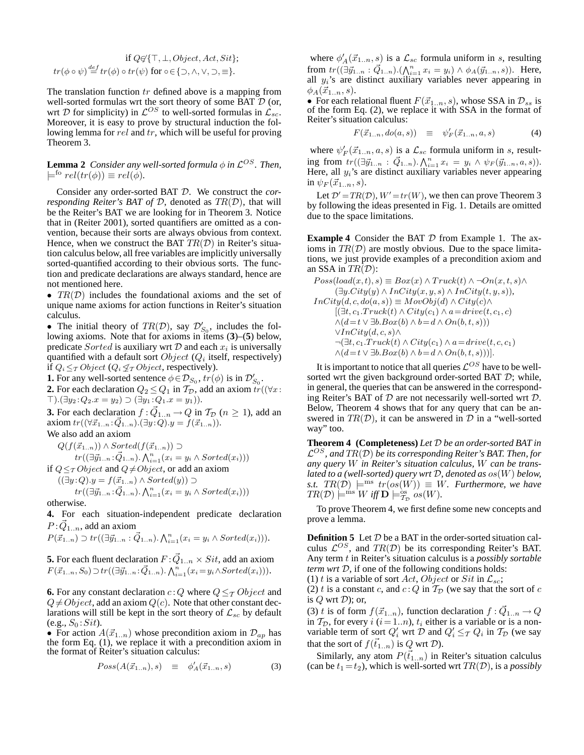if 
$$
Q \in \{\top, \bot, Object, Act, Sit\};
$$
  
 $tr(\phi \circ \psi) \stackrel{def}{=} tr(\phi) \circ tr(\psi)$  for  $\circ \in \{\supset, \land, \lor, \supset, \equiv\}.$ 

The translation function  $tr$  defined above is a mapping from well-sorted formulas wrt the sort theory of some BAT  $D$  (or, wrt  $D$  for simplicity) in  $\mathcal{L}^{OS}$  to well-sorted formulas in  $\mathcal{L}_{sc}$ . Moreover, it is easy to prove by structural induction the following lemma for rel and tr, which will be useful for proving Theorem 3.

**Lemma 2** Consider any well-sorted formula  $\phi$  in  $\mathcal{L}^{OS}$ . Then,  $\models^{fo} rel(tr(\phi)) \equiv rel(\phi).$ 

Consider any order-sorted BAT D. We construct the *corresponding Reiter's BAT of*  $D$ *, denoted as*  $TR(D)$ *, that will* be the Reiter's BAT we are looking for in Theorem 3. Notice that in (Reiter 2001), sorted quantifiers are omitted as a convention, because their sorts are always obvious from context. Hence, when we construct the BAT  $TR(D)$  in Reiter's situation calculus below, all free variables are implicitly universally sorted-quantified according to their obvious sorts. The function and predicate declarations are always standard, hence are not mentioned here.

•  $TR(D)$  includes the foundational axioms and the set of unique name axioms for action functions in Reiter's situation calculus.

• The initial theory of  $TR(D)$ , say  $\mathcal{D}'_{S_0}$ , includes the following axioms. Note that for axioms in items (**3**)–(**5**) below, predicate  $Sorted$  is auxiliary wrt  $D$  and each  $x_i$  is universally quantified with a default sort  $Object(Q_i)$  itself, respectively) if  $Q_i \leq_T Object$  ( $Q_i \nleq_T Object$ , respectively).

**1.** For any well-sorted sentence  $\phi \in \mathcal{D}_{S_0}$ ,  $tr(\phi)$  is in  $\mathcal{D}'_{S_0}$ .

**2.** For each declaration  $Q_2 \leq Q_1$  in  $\mathcal{T}_{\mathcal{D}}$ , add an axiom  $tr((\forall x \in \mathcal{D})$  $\top$ ).(∃ $y_2$ : $Q_2$ . $x = y_2$ ) ⊃ (∃ $y_1$ : $Q_1$ . $x = y_1$ )).

**3.** For each declaration  $f : \vec{Q}_{1..n} \to Q$  in  $\mathcal{T}_{\mathcal{D}}$   $(n \geq 1)$ , add an axiom  $tr((\forall \vec{x}_{1..n} : \vec{Q}_{1..n}).(\exists y : Q).y = f(\vec{x}_{1..n})).$ 

We also add an axiom

 $Q(f(\vec{x}_{1..n})) \wedge Sorted(f(\vec{x}_{1..n})) \supset$ 

 $tr((\exists \vec{y}_{1..n}:\vec{Q}_{1..n}).\bigwedge_{i=1}^n(x_i=y_i \wedge Sorted(x_i)))$ 

if  $Q \leq_T Object$  and  $Q \neq Object$ , or add an axiom  $((\exists y:Q).y = f(\vec{x}_{1..n}) \wedge Sorted(y)) \supset$  $tr((\exists \vec{y}_{1..n}:\vec{Q}_{1..n})\cdot \bigwedge_{i=1}^n (x_i=y_i \wedge Sorted(x_i)))$ 

otherwise.

**4.** For each situation-independent predicate declaration  $P:\vec{Q}_{1..n}$ , add an axiom

 $P(\vec{x}_{1..n}) \supset tr((\exists \vec{y}_{1..n} : \vec{Q}_{1..n}). \bigwedge_{i=1}^{n} (x_i = y_i \wedge Sorted(x_i))).$ 

**5.** For each fluent declaration  $F: \vec{Q}_{1..n} \times Sit$ , add an axiom  $F(\vec{x}_{1..n}, S_0) \supset tr((\exists \vec{y}_{1..n}; \vec{Q}_{1..n}), \bigwedge_{i=1}^n (x_i = y_i \wedge Sorted(x_i))).$ 

**6.** For any constant declaration  $c:Q$  where  $Q \leq_T Object$  and  $Q \neq Object$ , add an axiom  $Q(c)$ . Note that other constant declarations will still be kept in the sort theory of  $\mathcal{L}_{sc}$  by default  $(e.g., S_0: Sit).$ 

• For action  $A(\vec{x}_{1..n})$  whose precondition axiom in  $\mathcal{D}_{ap}$  has the form Eq.  $(1)$ , we replace it with a precondition axiom in the format of Reiter's situation calculus:

$$
Poss(A(\vec{x}_{1..n}),s) \equiv \phi'_A(\vec{x}_{1..n},s) \tag{3}
$$

where  $\phi'_{A}(\vec{x}_{1..n}, s)$  is a  $\mathcal{L}_{sc}$  formula uniform in s, resulting from  $tr((\exists \vec{y}_{1..n} : \vec{Q}_{1..n}).(\bigwedge_{i=1}^{n} x_i = y_i) \wedge \phi_A(\vec{y}_{1..n}, s)).$  Here, all  $y_i$ 's are distinct auxiliary variables never appearing in  $\phi_A(\vec{x}_{1..n}, s)$ .

• For each relational fluent  $F(\vec{x}_{1..n}, s)$ , whose SSA in  $\mathcal{D}_{ss}$  is of the form Eq. (2), we replace it with SSA in the format of Reiter's situation calculus:

$$
F(\vec{x}_{1..n}, do(a, s)) \equiv \psi'_F(\vec{x}_{1..n}, a, s) \tag{4}
$$

where  $\psi'_F(\vec{x}_{1..n}, a, s)$  is a  $\mathcal{L}_{sc}$  formula uniform in s, resulting from  $tr((\exists \vec{y}_{1..n} : \vec{Q}_{1..n}).\bigwedge_{i=1}^{n} x_i = y_i \wedge \psi_F(\vec{y}_{1..n},a,s)).$ Here, all  $y_i$ 's are distinct auxiliary variables never appearing in  $\psi_F(\vec{x}_{1..n}, s)$ .

Let  $\mathcal{D}' = TR(\mathcal{D}), W' = tr(W)$ , we then can prove Theorem 3 by following the ideas presented in Fig. 1. Details are omitted due to the space limitations.

**Example 4** Consider the BAT D from Example 1. The axioms in  $TR(\mathcal{D})$  are mostly obvious. Due to the space limitations, we just provide examples of a precondition axiom and an SSA in  $TR(D)$ :

$$
Poss(log(x, t), s) \equiv Box(x) \land Truek(t) \land \neg On(x, t, s) \land
$$
  
\n
$$
(\exists y.City(y) \land InCity(x, y, s) \land InCity(t, y, s)),
$$
  
\n
$$
InCity(d, c, do(a, s)) \equiv MovObj(d) \land City(c) \land
$$
  
\n
$$
[(\exists t, c_1.Truck(t) \land City(c_1) \land a = drive(t, c_1, c) \land (d = t \lor \exists b.Box(b) \land b = d \land On(b, t, s))) \lor InCity(d, c, s) \land
$$
  
\n
$$
\neg (\exists t, c_1.Truck(t) \land City(c_1) \land a = drive(t, c, c_1) \land (d = t \lor \exists b.Box(b) \land b = d \land On(b, t, s)))].
$$

It is important to notice that all queries  $\mathcal{L}^{OS}$  have to be wellsorted wrt the given background order-sorted BAT  $D$ ; while, in general, the queries that can be answered in the corresponding Reiter's BAT of  $D$  are not necessarily well-sorted wrt  $D$ . Below, Theorem 4 shows that for any query that can be answered in  $TR(D)$ , it can be answered in  $D$  in a "well-sorted" way" too.

**Theorem 4 (Completeness)** *Let* D *be an order-sorted BAT in* L OS*, and* TR(D) *be its corresponding Reiter's BAT. Then, for any query* W *in Reiter's situation calculus,* W *can be translated to a (well-sorted) query wrt* D*, denoted as* os(W) *below, s.t.*  $TR(\mathcal{D}) \models^{ms} tr(o\overline{s}(W)) \equiv W$ . Furthermore, we have  $TR(\mathcal{D}) \models^{\text{ms}} W \text{ iff } \mathbf{D} \models^{\text{os}}_{\mathcal{I}_{\mathcal{D}}} os(W).$ 

To prove Theorem 4, we first define some new concepts and prove a lemma.

**Definition 5** Let  $D$  be a BAT in the order-sorted situation calculus  $\mathcal{L}^{OS}$ , and  $TR(\mathcal{D})$  be its corresponding Reiter's BAT. Any term t in Reiter's situation calculus is a *possibly sortable term wrt* D, if one of the following conditions holds:

(1) t is a variable of sort *Act*, *Object* or *Sit* in  $\mathcal{L}_{sc}$ ;

(2) t is a constant c, and  $c:Q$  in  $\mathcal{T}_{\mathcal{D}}$  (we say that the sort of c is  $Q$  wrt  $D$ ); or,

(3) t is of form  $f(\vec{x}_{1..n})$ , function declaration  $f : \vec{Q}_{1..n} \to Q$ in  $T_D$ , for every i  $(i = 1..n)$ ,  $t_i$  either is a variable or is a nonvariable term of sort  $Q'_i$  wrt  $D$  and  $Q'_i \leq_T Q_i$  in  $T_D$  (we say that the sort of  $f(\vec{t}_{1..n})$  is Q wrt D).

Similarly, any atom  $P(\vec{t}_{1..n})$  in Reiter's situation calculus (can be  $t_1 = t_2$ ), which is well-sorted wrt  $TR(D)$ , is a *possibly*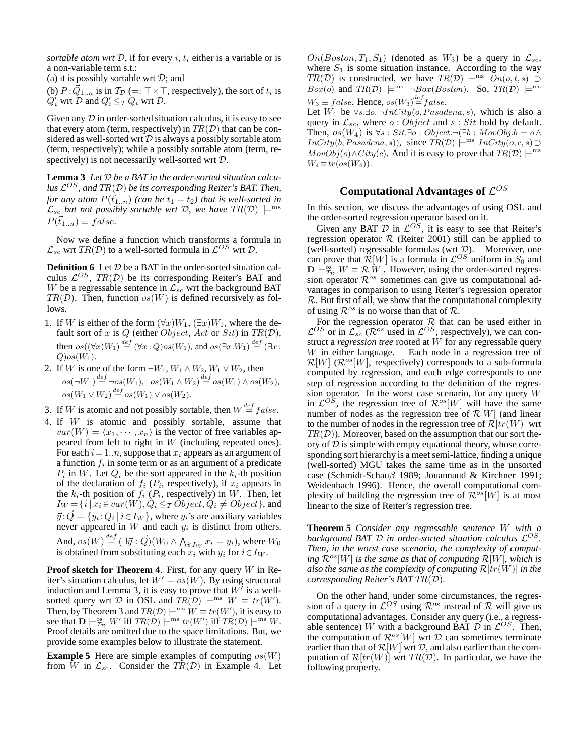*sortable atom wrt*  $D$ , if for every  $i$ ,  $t_i$  either is a variable or is a non-variable term s.t.:

(a) it is possibly sortable wrt  $D$ ; and

(b)  $P:\vec{Q}_{1..n}$  is in  $\mathcal{T}_{\mathcal{D}}$  (=:  $\top \times \top$ , respectively), the sort of  $t_i$  is  $Q'_i$  wrt  $D$  and  $Q'_i \leq_T Q_i$  wrt  $D$ .

Given any  $D$  in order-sorted situation calculus, it is easy to see that every atom (term, respectively) in  $TR(D)$  that can be considered as well-sorted wrt  $D$  is always a possibly sortable atom (term, respectively); while a possibly sortable atom (term, respectively) is not necessarily well-sorted wrt  $D$ .

**Lemma 3** *Let* D *be a BAT in the order-sorted situation calculus* L OS *, and* TR(D) *be its corresponding Reiter's BAT. Then, for any atom*  $P(\vec{t}_{1..n})$  *(can be*  $t_1 = t_2$ *) that is well-sorted in*  $\mathcal{L}_{sc}$  *but not possibly sortable wrt*  $\mathcal{D}$ *, we have*  $TR(\mathcal{D})$   $\models^{ms}$  $P(\vec{t}_{1,n}) \equiv false.$ 

Now we define a function which transforms a formula in  $\mathcal{L}_{sc}$  wrt  $TR(\mathcal{D})$  to a well-sorted formula in  $\mathcal{L}^{OS}$  wrt  $\mathcal{D}.$ 

**Definition 6** Let  $D$  be a BAT in the order-sorted situation calculus  $\mathcal{L}^{OS}$ ,  $TR(\mathcal{D})$  be its corresponding Reiter's BAT and W be a regressable sentence in  $\mathcal{L}_{sc}$  wrt the background BAT  $TR(D)$ . Then, function  $os(W)$  is defined recursively as follows.

- 1. If W is either of the form  $(\forall x)W_1, (\exists x)W_1$ , where the default sort of x is Q (either Object, Act or Sit) in  $TR(\mathcal{D})$ , then  $os((\forall x)W_1) \stackrel{def}{=} (\forall x:Q)os(W_1)$ , and  $os(\exists x.W_1) \stackrel{def}{=} (\exists x:Q)os(W_1)$  $Q)$ os $(W_1)$ .
- 2. If W is one of the form  $\neg W_1, W_1 \wedge W_2, W_1 \vee W_2$ , then  $os(\neg W_1) \stackrel{def}{=} \neg os(W_1), \ \ os(W_1 \wedge W_2) \stackrel{def}{=} os(W_1) \wedge os(W_2),$  $os(W_1 \vee W_2) \stackrel{def}{=} os(W_1) \vee os(W_2).$
- 3. If W is atomic and not possibly sortable, then  $W \stackrel{def}{=} false$ .
- 4. If W is atomic and possibly sortable, assume that  $var(W) = \langle x_1, \cdots, x_n \rangle$  is the vector of free variables appeared from left to right in  $W$  (including repeated ones). For each  $i = 1..n$ , suppose that  $x_i$  appears as an argument of a function  $f_i$  in some term or as an argument of a predicate  $P_i$  in W. Let  $Q_i$  be the sort appeared in the  $k_i$ -th position of the declaration of  $f_i$  ( $P_i$ , respectively), if  $x_i$  appears in the  $k_i$ -th position of  $f_i$  ( $P_i$ , respectively) in W. Then, let  $I_W = \{i \mid x_i \in var(W), Q_i \leq \tau \tilde{Object}, Q_i \neq Object\}$ , and  $\vec{y}$ : $\vec{Q} = \{y_i : Q_i \mid i \in I_W\}$ , where  $y_i$ 's are auxiliary variables never appeared in  $W$  and each  $y_i$  is distinct from others. And,  $os(W) \mathop{=}\limits^{def} (\exists \vec{y} : \vec{Q}) (W_0 \wedge \bigwedge_{i \in I_W} x_i = y_i),$  where  $W_0$ is obtained from substituting each  $x_i$  with  $y_i$  for  $i \in I_W$ .

**Proof sketch for Theorem 4**. First, for any query W in Reiter's situation calculus, let  $W' = os(W)$ . By using structural induction and Lemma 3, it is easy to prove that  $W'$  is a wellsorted query wrt D in OSL and  $TR(D) \models^{ms} W \equiv tr(W')$ . Then, by Theorem 3 and  $TR(D) \models^{\text{ms}} W = tr(W')$ , it is easy to see that  $\mathbf{D} \models_{\mathcal{T}_{\mathcal{D}}}^{\text{os}} W'$  iff  $TR(\mathcal{D}) \models^{\text{ms}} tr(W')$  iff  $TR(\mathcal{D}) \models^{\text{ms}} W$ . Proof details are omitted due to the space limitations. But, we provide some examples below to illustrate the statement.

**Example 5** Here are simple examples of computing  $os(W)$ from  $\hat{W}$  in  $\mathcal{L}_{sc}$ . Consider the  $T\hat{R}(\mathcal{D})$  in Example 4. Let  $On(Boston, T_1, S_1)$  (denoted as  $W_3$ ) be a query in  $\mathcal{L}_{sc}$ , where  $S_1$  is some situation instance. According to the way  $TR(D)$  is constructed, we have  $TR(D) \models^{\text{ms}} \overline{On}(o, t, s)$  $Box(o)$  and  $TR(\mathcal{D}) \models^{\text{ms}} \neg Box(Boston)$ . So,  $TR(\mathcal{D}) \models^{\text{ms}}$  $W_3 \equiv false$ . Hence,  $os(W_3) \stackrel{def}{=} false$ .

Let  $W_4$  be  $\forall s.\exists o.\neg InCity(o, Pasadena, s)$ , which is also a query in  $\mathcal{L}_{sc}$ , where  $o:Object$  and  $s: Sit$  hold by default. Then,  $os(W_4)$  is  $\forall s : Sit. \exists o : Object. \neg (\exists b : MovObj.b = o \land$  $InCity(b, Pasadena, s)$ , since  $TR(D) \models^{ms} InCity(o, c, s) \supset$  $MovObj(o) \wedge City(c)$ . And it is easy to prove that  $TR(\mathcal{D}) \models^{\text{ms}}$  $W_4 \equiv tr(\omega s(W_4)).$ 

# Computational Advantages of  $\mathcal{L}^{OS}$

In this section, we discuss the advantages of using OSL and the order-sorted regression operator based on it.

Given any BAT  $D$  in  $\mathcal{L}^{OS}$ , it is easy to see that Reiter's regression operator  $R$  (Reiter 2001) still can be applied to (well-sorted) regressable formulas (wrt  $\mathcal{D}$ ). Moreover, one can prove that  $\mathcal{R}[W]$  is a formula in  $\mathcal{L}^{OS}$  uniform in  $S_0$  and  $\mathbf{D} \models_{T_{\mathcal{D}}}^{\infty} W \equiv \mathcal{R}[W]$ . However, using the order-sorted regression operator  $\mathcal{R}^{os}$  sometimes can give us computational advantages in comparison to using Reiter's regression operator  $R$ . But first of all, we show that the computational complexity of using  $\mathcal{R}^{os}$  is no worse than that of  $\mathcal{R}$ .

For the regression operator  $R$  that can be used either in  $\mathcal{L}^{OS}$  or in  $\mathcal{L}_{sc}$  ( $\mathcal{R}^{os}$  used in  $\mathcal{L}^{OS}$ , respectively), we can construct a *regression tree* rooted at W for any regressable query W in either language. Each node in a regression tree of  $\mathcal{R}[W]$  ( $\mathcal{R}^{os}[W]$ , respectively) corresponds to a sub-formula computed by regression, and each edge corresponds to one step of regression according to the definition of the regression operator. In the worst case scenario, for any query  $W$ in  $\mathcal{L}^{OS}$ , the regression tree of  $\mathcal{R}^{os}[W]$  will have the same number of nodes as the regression tree of  $\mathcal{R}[W]$  (and linear to the number of nodes in the regression tree of  $\mathcal{R}[tr(W)]$  wrt  $TR(D)$ ). Moreover, based on the assumption that our sort theory of  $D$  is simple with empty equational theory, whose corresponding sort hierarchy is a meet semi-lattice, finding a unique (well-sorted) MGU takes the same time as in the unsorted case (Schmidt-Schauβ 1989; Jouannaud & Kirchner 1991; Weidenbach 1996). Hence, the overall computational complexity of building the regression tree of  $\mathcal{R}^{os}[W]$  is at most linear to the size of Reiter's regression tree.

**Theorem 5** *Consider any regressable sentence* W *with a* background BAT  $D$  in order-sorted situation calculus  $\mathcal{L}^{OS}$ . *Then, in the worst case scenario, the complexity of computing*  $\mathcal{R}^{os}[W]$  *is the same as that of computing*  $\mathcal{R}[W]$ *, which is also the same as the complexity of computing*  $\mathcal{R}[tr(W)]$  *in the corresponding Reiter's BAT* TR(D)*.*

On the other hand, under some circumstances, the regression of a query in  $\mathcal{L}^{OS}$  using  $\mathcal{R}^{os}$  instead of  $\mathcal R$  will give us computational advantages. Consider any query (i.e., a regressable sentence) W with a background BAT  $\mathcal{D}$  in  $\mathcal{L}^{OS}$ . Then, the computation of  $\mathcal{R}^{os}[W]$  wrt  $\mathcal D$  can sometimes terminate earlier than that of  $\mathcal{R}[W]$  wrt  $\mathcal{D}$ , and also earlier than the computation of  $\mathcal{R}[tr(W)]$  wrt  $TR(\mathcal{D})$ . In particular, we have the following property.